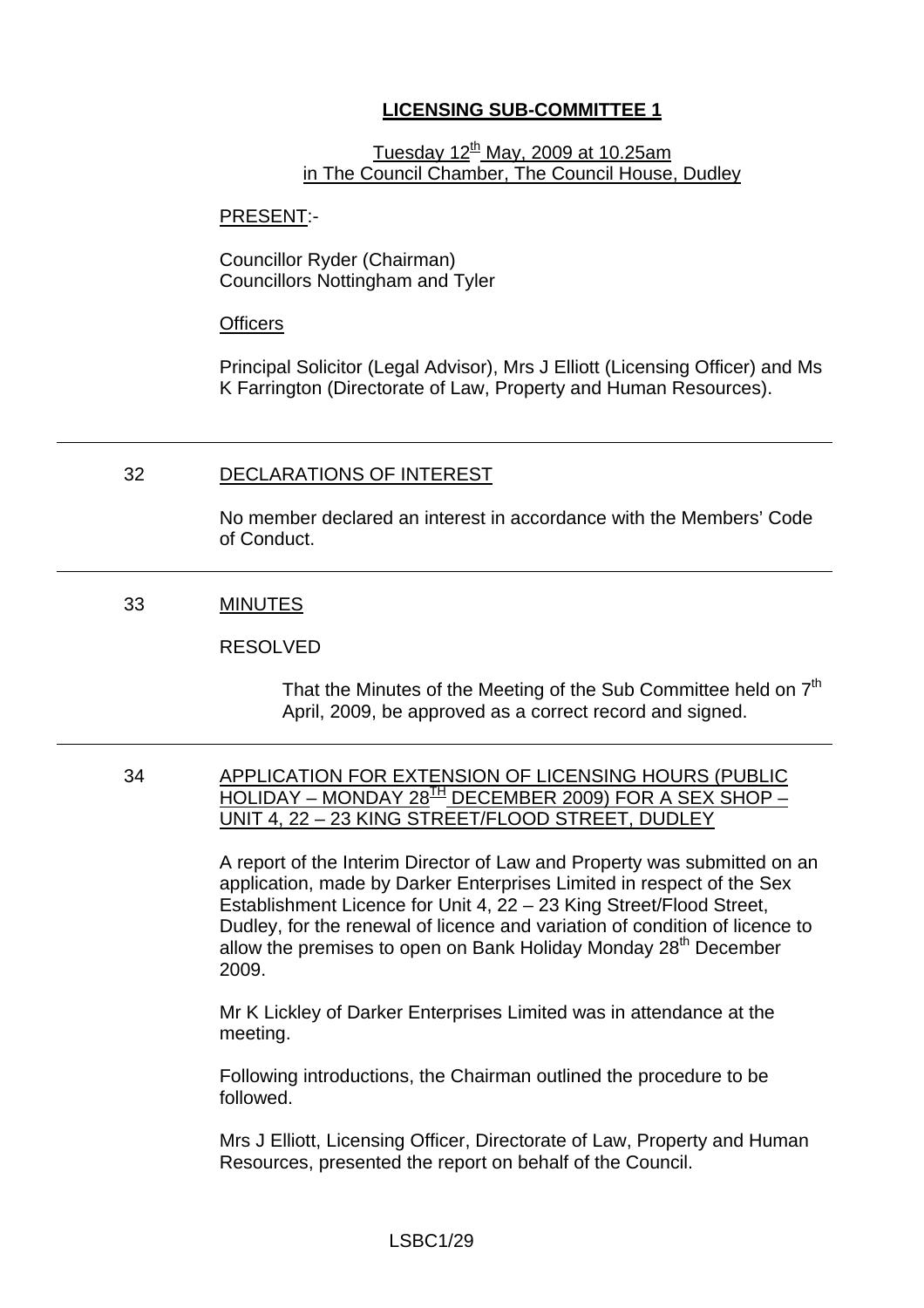# **LICENSING SUB-COMMITTEE 1**

# Tuesday  $12<sup>th</sup>$  May, 2009 at 10.25am in The Council Chamber, The Council House, Dudley

#### PRESENT:-

Councillor Ryder (Chairman) Councillors Nottingham and Tyler

#### **Officers**

Principal Solicitor (Legal Advisor), Mrs J Elliott (Licensing Officer) and Ms K Farrington (Directorate of Law, Property and Human Resources).

## 32 DECLARATIONS OF INTEREST

No member declared an interest in accordance with the Members' Code of Conduct.

# 33 MINUTES

### RESOLVED

That the Minutes of the Meeting of the Sub Committee held on  $7<sup>th</sup>$ April, 2009, be approved as a correct record and signed.

34 APPLICATION FOR EXTENSION OF LICENSING HOURS (PUBLIC  $HOLIDAY - MONDAY 28<sup>TH</sup> DECEMBER 2009) FOR A SEX SHOP -$ UNIT 4, 22 – 23 KING STREET/FLOOD STREET, DUDLEY

> A report of the Interim Director of Law and Property was submitted on an application, made by Darker Enterprises Limited in respect of the Sex Establishment Licence for Unit 4, 22 – 23 King Street/Flood Street, Dudley, for the renewal of licence and variation of condition of licence to allow the premises to open on Bank Holiday Monday  $28<sup>th</sup>$  December 2009.

Mr K Lickley of Darker Enterprises Limited was in attendance at the meeting.

Following introductions, the Chairman outlined the procedure to be followed.

Mrs J Elliott, Licensing Officer, Directorate of Law, Property and Human Resources, presented the report on behalf of the Council.